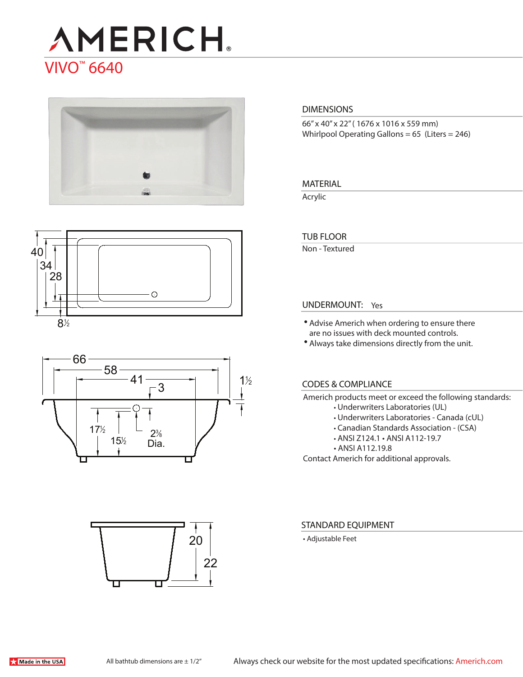# **AMERICH** VIVO™ 6640







# 22 20

#### **DIMENSIONS**

66" x 40" x 22" ( 1676 x 1016 x 559 mm) Whirlpool Operating Gallons = 65 (Liters = 246)

#### **MATERIAL**

Acrylic

#### **TUB FLOOR**

Non - Textured

#### **UNDERMOUNT:** Yes

- Advise Americh when ordering to ensure there are no issues with deck mounted controls.
- Always take dimensions directly from the unit.

#### **CODES & COMPLIANCE**

Americh products meet or exceed the following standards:

- Underwriters Laboratories (UL)
- Underwriters Laboratories Canada (cUL)
- Canadian Standards Association (CSA)
- ANSI Z124.1 ANSI A112-19.7
- ANSI A112.19.8

Contact Americh for additional approvals.

#### **STANDARD EQUIPMENT**

• Adjustable Feet